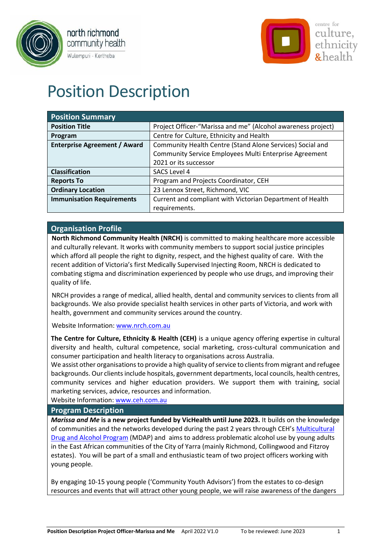



# Position Description

| <b>Position Summary</b>             |                                                              |  |  |  |
|-------------------------------------|--------------------------------------------------------------|--|--|--|
| <b>Position Title</b>               | Project Officer-"Marissa and me" (Alcohol awareness project) |  |  |  |
| Program                             | Centre for Culture, Ethnicity and Health                     |  |  |  |
| <b>Enterprise Agreement / Award</b> | Community Health Centre (Stand Alone Services) Social and    |  |  |  |
|                                     | Community Service Employees Multi Enterprise Agreement       |  |  |  |
|                                     | 2021 or its successor                                        |  |  |  |
| <b>Classification</b>               | SACS Level 4                                                 |  |  |  |
| <b>Reports To</b>                   | Program and Projects Coordinator, CEH                        |  |  |  |
| <b>Ordinary Location</b>            | 23 Lennox Street, Richmond, VIC                              |  |  |  |
| <b>Immunisation Requirements</b>    | Current and compliant with Victorian Department of Health    |  |  |  |
|                                     | requirements.                                                |  |  |  |

# **Organisation Profile**

**North Richmond Community Health (NRCH)** is committed to making healthcare more accessible and culturally relevant. It works with community members to support social justice principles which afford all people the right to dignity, respect, and the highest quality of care. With the recent addition of Victoria's first Medically Supervised Injecting Room, NRCH is dedicated to combating stigma and discrimination experienced by people who use drugs, and improving their quality of life.

NRCH provides a range of medical, allied health, dental and community services to clients from all backgrounds. We also provide specialist health services in other parts of Victoria, and work with health, government and community services around the country.

Website Information: [www.nrch.com.au](http://www.nrch.com.au/)

**The Centre for Culture, Ethnicity & Health (CEH)** is a unique agency offering expertise in cultural diversity and health, cultural competence, social marketing, cross-cultural communication and consumer participation and health literacy to organisations across Australia.

We assist other organisations to provide a high quality of service to clients from migrant and refugee backgrounds. Our clients include hospitals, government departments, local councils, health centres, community services and higher education providers. We support them with training, social marketing services, advice, resources and information.

Website Information: [www.ceh.com.au](http://www.ceh.com.au/)

#### **Program Description**

*Marissa and Me* **is a new project funded by VicHealth until June 2023.** It builds on the knowledge of communities and the networks developed during the past 2 years through CEH's [Multicultural](https://www.ceh.org.au/multicultural-drug-alcohol-partnership-mdap/)  [Drug and Alcohol Program](https://www.ceh.org.au/multicultural-drug-alcohol-partnership-mdap/) (MDAP) and aims to address problematic alcohol use by young adults in the East African communities of the City of Yarra (mainly Richmond, Collingwood and Fitzroy estates). You will be part of a small and enthusiastic team of two project officers working with young people.

By engaging 10-15 young people ('Community Youth Advisors') from the estates to co-design resources and events that will attract other young people, we will raise awareness of the dangers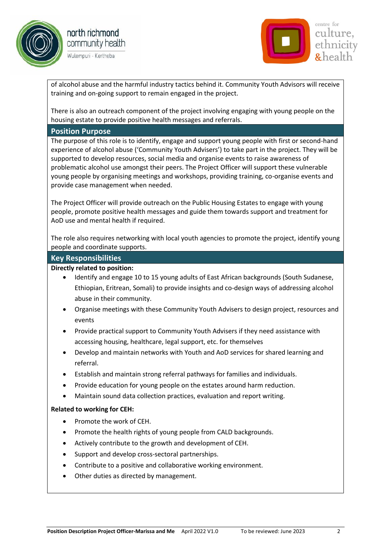





of alcohol abuse and the harmful industry tactics behind it. Community Youth Advisors will receive training and on-going support to remain engaged in the project.

There is also an outreach component of the project involving engaging with young people on the housing estate to provide positive health messages and referrals.

#### **Position Purpose**

The purpose of this role is to identify, engage and support young people with first or second-hand experience of alcohol abuse ('Community Youth Advisers') to take part in the project. They will be supported to develop resources, social media and organise events to raise awareness of problematic alcohol use amongst their peers. The Project Officer will support these vulnerable young people by organising meetings and workshops, providing training, co-organise events and provide case management when needed.

The Project Officer will provide outreach on the Public Housing Estates to engage with young people, promote positive health messages and guide them towards support and treatment for AoD use and mental health if required.

The role also requires networking with local youth agencies to promote the project, identify young people and coordinate supports.

#### **Key Responsibilities**

#### **Directly related to position:**

- Identify and engage 10 to 15 young adults of East African backgrounds (South Sudanese, Ethiopian, Eritrean, Somali) to provide insights and co-design ways of addressing alcohol abuse in their community.
- Organise meetings with these Community Youth Advisers to design project, resources and events
- Provide practical support to Community Youth Advisers if they need assistance with accessing housing, healthcare, legal support, etc. for themselves
- Develop and maintain networks with Youth and AoD services for shared learning and referral.
- Establish and maintain strong referral pathways for families and individuals.
- Provide education for young people on the estates around harm reduction.
- Maintain sound data collection practices, evaluation and report writing.

#### **Related to working for CEH:**

- Promote the work of CEH.
- Promote the health rights of young people from CALD backgrounds.
- Actively contribute to the growth and development of CEH.
- Support and develop cross-sectoral partnerships.
- Contribute to a positive and collaborative working environment.
- Other duties as directed by management.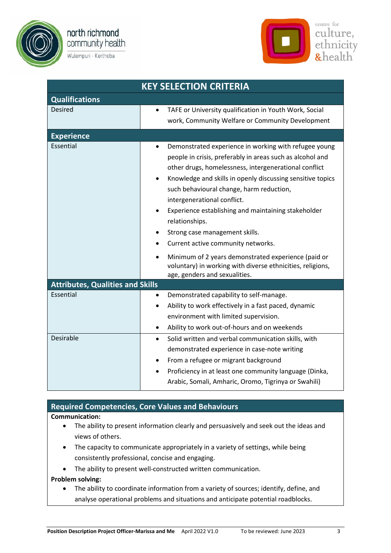

Wulempuri - Kertheba



| <b>KEY SELECTION CRITERIA</b>           |                                                                                                                                                                                                                                                                                                                                                                                                                                                                                                                                                                                                                                                |  |  |  |  |
|-----------------------------------------|------------------------------------------------------------------------------------------------------------------------------------------------------------------------------------------------------------------------------------------------------------------------------------------------------------------------------------------------------------------------------------------------------------------------------------------------------------------------------------------------------------------------------------------------------------------------------------------------------------------------------------------------|--|--|--|--|
| <b>Qualifications</b>                   |                                                                                                                                                                                                                                                                                                                                                                                                                                                                                                                                                                                                                                                |  |  |  |  |
| <b>Desired</b>                          | TAFE or University qualification in Youth Work, Social<br>work, Community Welfare or Community Development                                                                                                                                                                                                                                                                                                                                                                                                                                                                                                                                     |  |  |  |  |
| <b>Experience</b>                       |                                                                                                                                                                                                                                                                                                                                                                                                                                                                                                                                                                                                                                                |  |  |  |  |
| Essential                               | Demonstrated experience in working with refugee young<br>people in crisis, preferably in areas such as alcohol and<br>other drugs, homelessness, intergenerational conflict<br>Knowledge and skills in openly discussing sensitive topics<br>$\bullet$<br>such behavioural change, harm reduction,<br>intergenerational conflict.<br>Experience establishing and maintaining stakeholder<br>$\bullet$<br>relationships.<br>Strong case management skills.<br>Current active community networks.<br>$\bullet$<br>Minimum of 2 years demonstrated experience (paid or<br>$\bullet$<br>voluntary) in working with diverse ethnicities, religions, |  |  |  |  |
|                                         | age, genders and sexualities.                                                                                                                                                                                                                                                                                                                                                                                                                                                                                                                                                                                                                  |  |  |  |  |
| <b>Attributes, Qualities and Skills</b> |                                                                                                                                                                                                                                                                                                                                                                                                                                                                                                                                                                                                                                                |  |  |  |  |
| Essential                               | Demonstrated capability to self-manage.<br>٠<br>Ability to work effectively in a fast paced, dynamic<br>environment with limited supervision.<br>Ability to work out-of-hours and on weekends                                                                                                                                                                                                                                                                                                                                                                                                                                                  |  |  |  |  |
| Desirable                               | Solid written and verbal communication skills, with<br>$\bullet$<br>demonstrated experience in case-note writing<br>From a refugee or migrant background<br>Proficiency in at least one community language (Dinka,<br>$\bullet$<br>Arabic, Somali, Amharic, Oromo, Tigrinya or Swahili)                                                                                                                                                                                                                                                                                                                                                        |  |  |  |  |

# **Required Competencies, Core Values and Behaviours**

#### **Communication:**

- The ability to present information clearly and persuasively and seek out the ideas and views of others.
- The capacity to communicate appropriately in a variety of settings, while being consistently professional, concise and engaging.
- The ability to present well-constructed written communication.

#### **Problem solving:**

• The ability to coordinate information from a variety of sources; identify, define, and analyse operational problems and situations and anticipate potential roadblocks.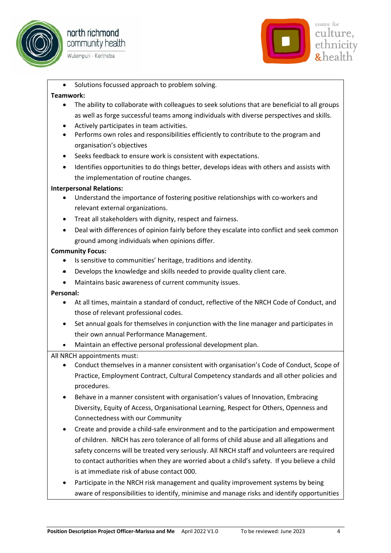





Solutions focussed approach to problem solving.

### **Teamwork:**

- The ability to collaborate with colleagues to seek solutions that are beneficial to all groups as well as forge successful teams among individuals with diverse perspectives and skills.
- Actively participates in team activities.
- Performs own roles and responsibilities efficiently to contribute to the program and organisation's objectives
- Seeks feedback to ensure work is consistent with expectations.
- Identifies opportunities to do things better, develops ideas with others and assists with the implementation of routine changes.

# **Interpersonal Relations:**

- Understand the importance of fostering positive relationships with co-workers and relevant external organizations.
- Treat all stakeholders with dignity, respect and fairness.
- Deal with differences of opinion fairly before they escalate into conflict and seek common ground among individuals when opinions differ.

# **Community Focus:**

- Is sensitive to communities' heritage, traditions and identity.
- Develops the knowledge and skills needed to provide quality client care.
- Maintains basic awareness of current community issues.

#### **Personal:**

- At all times, maintain a standard of conduct, reflective of the NRCH Code of Conduct, and those of relevant professional codes.
- Set annual goals for themselves in conjunction with the line manager and participates in their own annual Performance Management.
- Maintain an effective personal professional development plan.

# All NRCH appointments must:

- Conduct themselves in a manner consistent with organisation's Code of Conduct, Scope of Practice, Employment Contract, Cultural Competency standards and all other policies and procedures.
- Behave in a manner consistent with organisation's values of Innovation, Embracing Diversity, Equity of Access, Organisational Learning, Respect for Others, Openness and Connectedness with our Community
- Create and provide a child-safe environment and to the participation and empowerment of children. NRCH has zero tolerance of all forms of child abuse and all allegations and safety concerns will be treated very seriously. All NRCH staff and volunteers are required to contact authorities when they are worried about a child's safety. If you believe a child is at immediate risk of abuse contact 000.
- Participate in the NRCH risk management and quality improvement systems by being aware of responsibilities to identify, minimise and manage risks and identify opportunities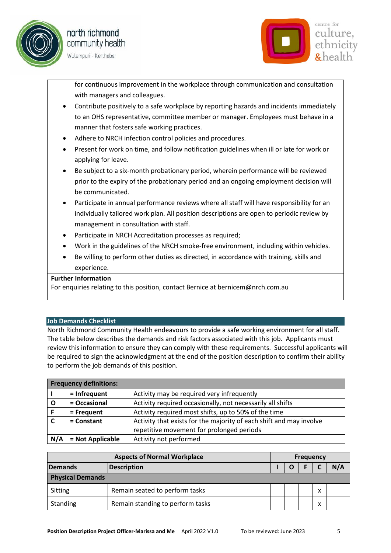





for continuous improvement in the workplace through communication and consultation with managers and colleagues.

- Contribute positively to a safe workplace by reporting hazards and incidents immediately to an OHS representative, committee member or manager. Employees must behave in a manner that fosters safe working practices.
- Adhere to NRCH infection control policies and procedures.
- Present for work on time, and follow notification guidelines when ill or late for work or applying for leave.
- Be subject to a six-month probationary period, wherein performance will be reviewed prior to the expiry of the probationary period and an ongoing employment decision will be communicated.
- Participate in annual performance reviews where all staff will have responsibility for an individually tailored work plan. All position descriptions are open to periodic review by management in consultation with staff.
- Participate in NRCH Accreditation processes as required;
- Work in the guidelines of the NRCH smoke-free environment, including within vehicles.
- Be willing to perform other duties as directed, in accordance with training, skills and experience.

#### **Further Information**

For enquiries relating to this position, contact Bernice at bernicem@nrch.com.au

#### **Job Demands Checklist**

North Richmond Community Health endeavours to provide a safe working environment for all staff. The table below describes the demands and risk factors associated with this job. Applicants must review this information to ensure they can comply with these requirements. Successful applicants will be required to sign the acknowledgment at the end of the position description to confirm their ability to perform the job demands of this position.

|     | <b>Frequency definitions:</b>                                                       |                                                            |
|-----|-------------------------------------------------------------------------------------|------------------------------------------------------------|
|     | $=$ Infrequent                                                                      | Activity may be required very infrequently                 |
|     | = Occasional                                                                        | Activity required occasionally, not necessarily all shifts |
|     | = Frequent                                                                          | Activity required most shifts, up to 50% of the time       |
|     | Activity that exists for the majority of each shift and may involve<br>$=$ Constant |                                                            |
|     |                                                                                     | repetitive movement for prolonged periods                  |
| N/A | = Not Applicable                                                                    | Activity not performed                                     |

| <b>Aspects of Normal Workplace</b> |                                  | <b>Frequency</b> |   |  |   |  |
|------------------------------------|----------------------------------|------------------|---|--|---|--|
| Description<br>Demands             |                                  |                  | O |  |   |  |
| <b>Physical Demands</b>            |                                  |                  |   |  |   |  |
| Sitting                            | Remain seated to perform tasks   |                  |   |  | x |  |
| Standing                           | Remain standing to perform tasks |                  |   |  | ж |  |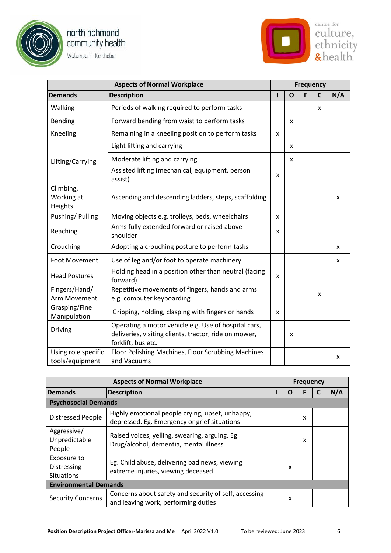





| <b>Aspects of Normal Workplace</b>     |                                                                                                                                     | <b>Frequency</b> |   |   |   |     |
|----------------------------------------|-------------------------------------------------------------------------------------------------------------------------------------|------------------|---|---|---|-----|
| <b>Demands</b>                         | <b>Description</b>                                                                                                                  | ı                | O | F | C | N/A |
| Walking                                | Periods of walking required to perform tasks                                                                                        |                  |   |   | x |     |
| Bending                                | Forward bending from waist to perform tasks                                                                                         |                  | x |   |   |     |
| Kneeling                               | Remaining in a kneeling position to perform tasks                                                                                   | x                |   |   |   |     |
|                                        | Light lifting and carrying                                                                                                          |                  | x |   |   |     |
| Lifting/Carrying                       | Moderate lifting and carrying                                                                                                       |                  | x |   |   |     |
|                                        | Assisted lifting (mechanical, equipment, person<br>assist)                                                                          | x                |   |   |   |     |
| Climbing,<br>Working at<br>Heights     | Ascending and descending ladders, steps, scaffolding                                                                                |                  |   |   |   | x   |
| Pushing/Pulling                        | Moving objects e.g. trolleys, beds, wheelchairs                                                                                     | x                |   |   |   |     |
| Reaching                               | Arms fully extended forward or raised above<br>shoulder                                                                             | x                |   |   |   |     |
| Crouching                              | Adopting a crouching posture to perform tasks                                                                                       |                  |   |   |   | x   |
| Foot Movement                          | Use of leg and/or foot to operate machinery                                                                                         |                  |   |   |   | x   |
| <b>Head Postures</b>                   | Holding head in a position other than neutral (facing<br>forward)                                                                   | x                |   |   |   |     |
| Fingers/Hand/<br>Arm Movement          | Repetitive movements of fingers, hands and arms<br>e.g. computer keyboarding                                                        |                  |   |   | x |     |
| Grasping/Fine<br>Manipulation          | Gripping, holding, clasping with fingers or hands                                                                                   | x                |   |   |   |     |
| <b>Driving</b>                         | Operating a motor vehicle e.g. Use of hospital cars,<br>deliveries, visiting clients, tractor, ride on mower,<br>forklift, bus etc. |                  | x |   |   |     |
| Using role specific<br>tools/equipment | Floor Polishing Machines, Floor Scrubbing Machines<br>and Vacuums                                                                   |                  |   |   |   | x   |

| <b>Aspects of Normal Workplace</b>              |                                                                                                 |  | <b>Frequency</b> |   |  |     |
|-------------------------------------------------|-------------------------------------------------------------------------------------------------|--|------------------|---|--|-----|
| Demands<br><b>Description</b>                   |                                                                                                 |  | O                |   |  | N/A |
| <b>Psychosocial Demands</b>                     |                                                                                                 |  |                  |   |  |     |
| <b>Distressed People</b>                        | Highly emotional people crying, upset, unhappy,<br>depressed. Eg. Emergency or grief situations |  |                  | x |  |     |
| Aggressive/<br>Unpredictable<br>People          | Raised voices, yelling, swearing, arguing. Eg.<br>Drug/alcohol, dementia, mental illness        |  |                  | x |  |     |
| Exposure to<br>Distressing<br><b>Situations</b> | Eg. Child abuse, delivering bad news, viewing<br>extreme injuries, viewing deceased             |  | x                |   |  |     |
| <b>Environmental Demands</b>                    |                                                                                                 |  |                  |   |  |     |
| <b>Security Concerns</b>                        | Concerns about safety and security of self, accessing<br>and leaving work, performing duties    |  | x                |   |  |     |